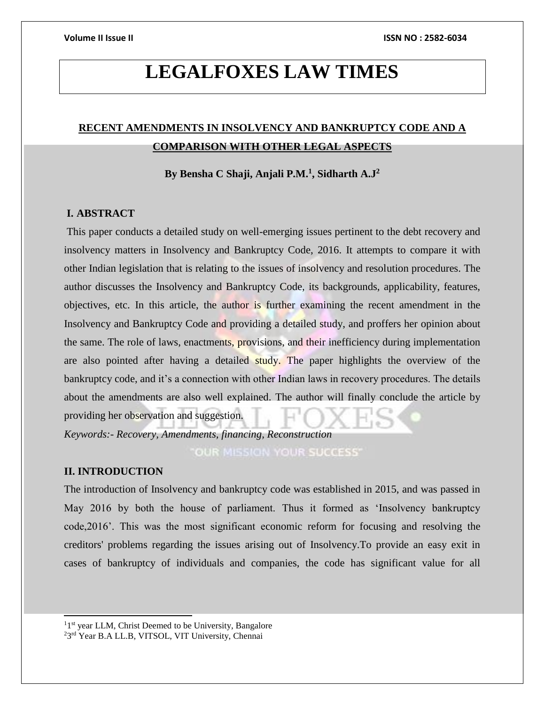# **LEGALFOXES LAW TIMES**

## **RECENT AMENDMENTS IN INSOLVENCY AND BANKRUPTCY CODE AND A COMPARISON WITH OTHER LEGAL ASPECTS**

**By Bensha C Shaji, Anjali P.M.<sup>1</sup> , Sidharth A.J<sup>2</sup>**

### **I. ABSTRACT**

This paper conducts a detailed study on well-emerging issues pertinent to the debt recovery and insolvency matters in Insolvency and Bankruptcy Code, 2016. It attempts to compare it with other Indian legislation that is relating to the issues of insolvency and resolution procedures. The author discusses the Insolvency and Bankruptcy Code, its backgrounds, applicability, features, objectives, etc. In this article, the author is further examining the recent amendment in the Insolvency and Bankruptcy Code and providing a detailed study, and proffers her opinion about the same. The role of laws, enactments, provisions, and their inefficiency during implementation are also pointed after having a detailed study. The paper highlights the overview of the bankruptcy code, and it's a connection with other Indian laws in recovery procedures. The details about the amendments are also well explained. The author will finally conclude the article by providing her observation and suggestion.

*Keywords:- Recovery, Amendments, financing, Reconstruction*

OUR MISSION YOUR SUCCESS'

### **II. INTRODUCTION**

j

The introduction of Insolvency and bankruptcy code was established in 2015, and was passed in May 2016 by both the house of parliament. Thus it formed as 'Insolvency bankruptcy code,2016'. This was the most significant economic reform for focusing and resolving the creditors' problems regarding the issues arising out of Insolvency.To provide an easy exit in cases of bankruptcy of individuals and companies, the code has significant value for all

<sup>&</sup>lt;sup>11st</sup> year LLM, Christ Deemed to be University, Bangalore <sup>2</sup>3<sup>rd</sup> Year B.A LL.B, VITSOL, VIT University, Chennai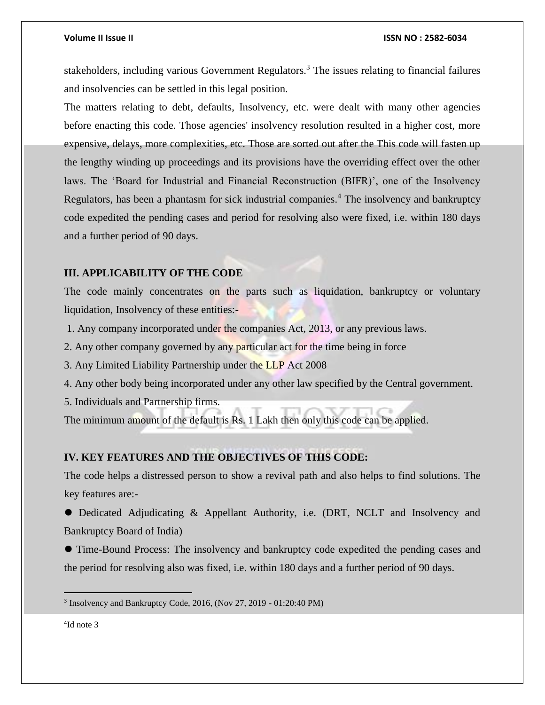stakeholders, including various Government Regulators.<sup>3</sup> The issues relating to financial failures and insolvencies can be settled in this legal position.

The matters relating to debt, defaults, Insolvency, etc. were dealt with many other agencies before enacting this code. Those agencies' insolvency resolution resulted in a higher cost, more expensive, delays, more complexities, etc. Those are sorted out after the This code will fasten up the lengthy winding up proceedings and its provisions have the overriding effect over the other laws. The 'Board for Industrial and Financial Reconstruction (BIFR)', one of the Insolvency Regulators, has been a phantasm for sick industrial companies.<sup>4</sup> The insolvency and bankruptcy code expedited the pending cases and period for resolving also were fixed, i.e. within 180 days and a further period of 90 days.

### **III. APPLICABILITY OF THE CODE**

The code mainly concentrates on the parts such as liquidation, bankruptcy or voluntary liquidation, Insolvency of these entities:-

1. Any company incorporated under the companies Act, 2013, or any previous laws.

2. Any other company governed by any particular act for the time being in force

3. Any Limited Liability Partnership under the LLP Act 2008

4. Any other body being incorporated under any other law specified by the Central government.

5. Individuals and Partnership firms.

The minimum amount of the default is Rs. 1 Lakh then only this code can be applied.

### **IV. KEY FEATURES AND THE OBJECTIVES OF THIS CODE:**

The code helps a distressed person to show a revival path and also helps to find solutions. The key features are:-

⚫ Dedicated Adjudicating & Appellant Authority, i.e. (DRT, NCLT and Insolvency and Bankruptcy Board of India)

⚫ Time-Bound Process: The insolvency and bankruptcy code expedited the pending cases and the period for resolving also was fixed, i.e. within 180 days and a further period of 90 days.

4 Id note 3

<sup>&</sup>lt;sup>3</sup> Insolvency and Bankruptcy Code, 2016, (Nov 27, 2019 - 01:20:40 PM)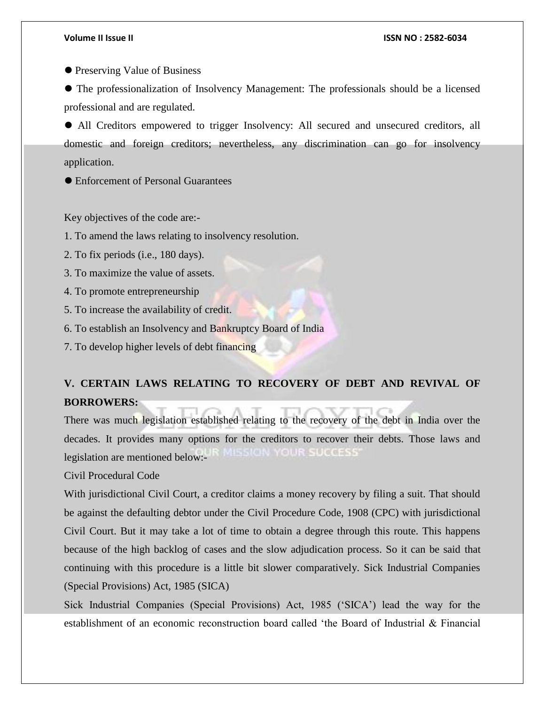⚫ Preserving Value of Business

⚫ The professionalization of Insolvency Management: The professionals should be a licensed professional and are regulated.

⚫ All Creditors empowered to trigger Insolvency: All secured and unsecured creditors, all domestic and foreign creditors; nevertheless, any discrimination can go for insolvency application.

⚫ Enforcement of Personal Guarantees

Key objectives of the code are:-

1. To amend the laws relating to insolvency resolution.

2. To fix periods (i.e., 180 days).

3. To maximize the value of assets.

4. To promote entrepreneurship

5. To increase the availability of credit.

6. To establish an Insolvency and Bankruptcy Board of India

7. To develop higher levels of debt financing

## **V. CERTAIN LAWS RELATING TO RECOVERY OF DEBT AND REVIVAL OF BORROWERS:**

There was much legislation established relating to the recovery of the debt in India over the decades. It provides many options for the creditors to recover their debts. Those laws and legislation are mentioned below:-

Civil Procedural Code

With jurisdictional Civil Court, a creditor claims a money recovery by filing a suit. That should be against the defaulting debtor under the Civil Procedure Code, 1908 (CPC) with jurisdictional Civil Court. But it may take a lot of time to obtain a degree through this route. This happens because of the high backlog of cases and the slow adjudication process. So it can be said that continuing with this procedure is a little bit slower comparatively. Sick Industrial Companies (Special Provisions) Act, 1985 (SICA)

Sick Industrial Companies (Special Provisions) Act, 1985 ('SICA') lead the way for the establishment of an economic reconstruction board called 'the Board of Industrial & Financial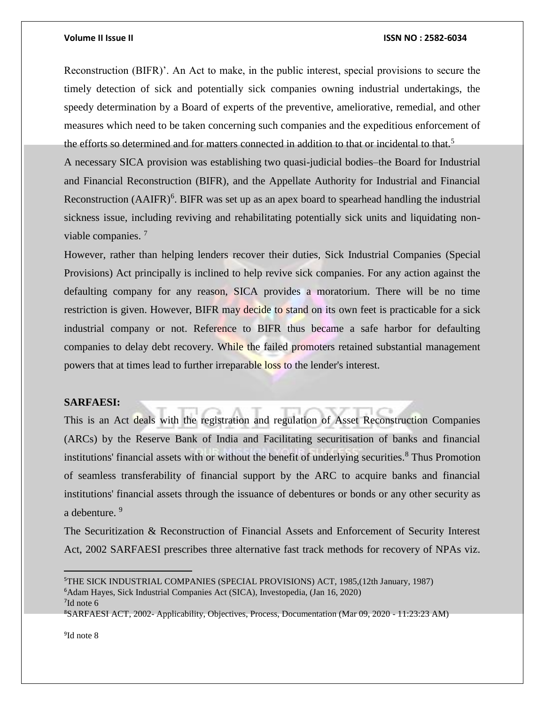Reconstruction (BIFR)'. An Act to make, in the public interest, special provisions to secure the timely detection of sick and potentially sick companies owning industrial undertakings, the speedy determination by a Board of experts of the preventive, ameliorative, remedial, and other measures which need to be taken concerning such companies and the expeditious enforcement of the efforts so determined and for matters connected in addition to that or incidental to that.<sup>5</sup>

A necessary SICA provision was establishing two quasi-judicial bodies–the Board for Industrial and Financial Reconstruction (BIFR), and the Appellate Authority for Industrial and Financial Reconstruction  $(AAIFR)^6$ . BIFR was set up as an apex board to spearhead handling the industrial sickness issue, including reviving and rehabilitating potentially sick units and liquidating nonviable companies. <sup>7</sup>

However, rather than helping lenders recover their duties, Sick Industrial Companies (Special Provisions) Act principally is inclined to help revive sick companies. For any action against the defaulting company for any reason, SICA provides a moratorium. There will be no time restriction is given. However, BIFR may decide to stand on its own feet is practicable for a sick industrial company or not. Reference to BIFR thus became a safe harbor for defaulting companies to delay debt recovery. While the failed promoters retained substantial management powers that at times lead to further irreparable loss to the lender's interest.

#### **SARFAESI:**

This is an Act deals with the registration and regulation of Asset Reconstruction Companies (ARCs) by the Reserve Bank of India and Facilitating securitisation of banks and financial institutions' financial assets with or without the benefit of underlying securities.<sup>8</sup> Thus Promotion of seamless transferability of financial support by the ARC to acquire banks and financial institutions' financial assets through the issuance of debentures or bonds or any other security as a debenture. <sup>9</sup>

The Securitization & Reconstruction of Financial Assets and Enforcement of Security Interest Act, 2002 SARFAESI prescribes three alternative fast track methods for recovery of NPAs viz.

9 Id note 8

<sup>5</sup>THE SICK INDUSTRIAL COMPANIES (SPECIAL PROVISIONS) ACT, 1985,(12th January, 1987) <sup>6</sup>Adam Hayes, Sick Industrial Companies Act (SICA), Investopedia, (Jan 16, 2020)

<sup>7</sup> Id note 6

<sup>8</sup>SARFAESI ACT, 2002- Applicability, Objectives, Process, Documentation (Mar 09, 2020 - 11:23:23 AM)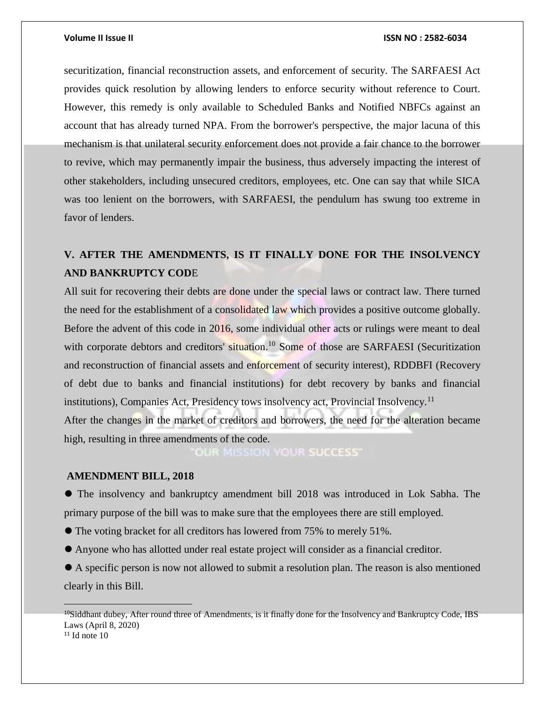securitization, financial reconstruction assets, and enforcement of security. The SARFAESI Act provides quick resolution by allowing lenders to enforce security without reference to Court. However, this remedy is only available to Scheduled Banks and Notified NBFCs against an account that has already turned NPA. From the borrower's perspective, the major lacuna of this mechanism is that unilateral security enforcement does not provide a fair chance to the borrower to revive, which may permanently impair the business, thus adversely impacting the interest of other stakeholders, including unsecured creditors, employees, etc. One can say that while SICA was too lenient on the borrowers, with SARFAESI, the pendulum has swung too extreme in favor of lenders.

## **V. AFTER THE AMENDMENTS, IS IT FINALLY DONE FOR THE INSOLVENCY AND BANKRUPTCY COD**E

All suit for recovering their debts are done under the special laws or contract law. There turned the need for the establishment of a consolidated law which provides a positive outcome globally. Before the advent of this code in 2016, some individual other acts or rulings were meant to deal with corporate debtors and creditors' situation.<sup>10</sup> Some of those are SARFAESI (Securitization and reconstruction of financial assets and enforcement of security interest), RDDBFI (Recovery of debt due to banks and financial institutions) for debt recovery by banks and financial institutions), Companies Act, Presidency tows insolvency act, Provincial Insolvency.<sup>11</sup> After the changes in the market of creditors and borrowers, the need for the alteration became high, resulting in three amendments of the code.

OUR MISSION YOUR SUCCESS'

### **AMENDMENT BILL, 2018**

⚫ The insolvency and bankruptcy amendment bill 2018 was introduced in Lok Sabha. The primary purpose of the bill was to make sure that the employees there are still employed.

- ⚫ The voting bracket for all creditors has lowered from 75% to merely 51%.
- ⚫ Anyone who has allotted under real estate project will consider as a financial creditor.

⚫ A specific person is now not allowed to submit a resolution plan. The reason is also mentioned clearly in this Bill.

 $\overline{a}$ 

<sup>&</sup>lt;sup>10</sup>Siddhant dubey, After round three of Amendments, is it finally done for the Insolvency and Bankruptcy Code, IBS Laws (April 8, 2020)  $11$  Id note 10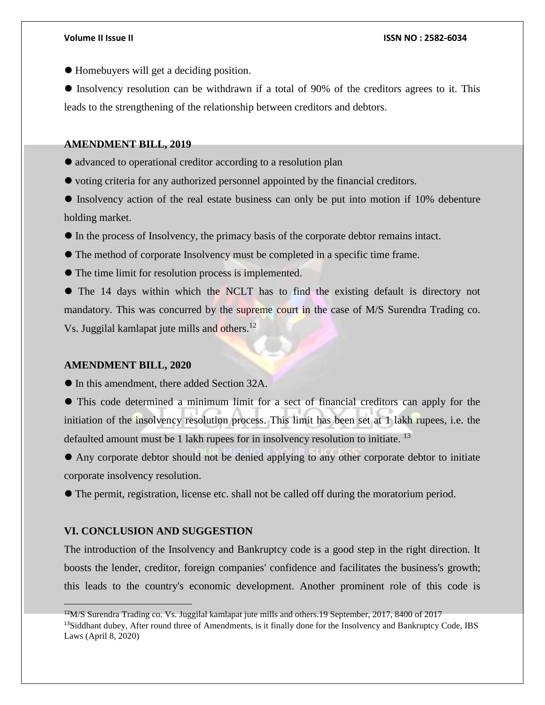⚫ Homebuyers will get a deciding position.

⚫ Insolvency resolution can be withdrawn if a total of 90% of the creditors agrees to it. This leads to the strengthening of the relationship between creditors and debtors.

#### **AMENDMENT BILL, 2019**

- ⚫ advanced to operational creditor according to a resolution plan
- ⚫ voting criteria for any authorized personnel appointed by the financial creditors.
- ⚫ Insolvency action of the real estate business can only be put into motion if 10% debenture holding market.
- ⚫ In the process of Insolvency, the primacy basis of the corporate debtor remains intact.
- ⚫ The method of corporate Insolvency must be completed in a specific time frame.
- ⚫ The time limit for resolution process is implemented.

⚫ The 14 days within which the NCLT has to find the existing default is directory not mandatory. This was concurred by the supreme court in the case of M/S Surendra Trading co. Vs. Juggilal kamlapat jute mills and others.<sup>12</sup>

#### **AMENDMENT BILL, 2020**

⚫ In this amendment, there added Section 32A.

⚫ This code determined a minimum limit for a sect of financial creditors can apply for the initiation of the insolvency resolution process. This limit has been set at 1 lakh rupees, i.e. the defaulted amount must be 1 lakh rupees for in insolvency resolution to initiate.<sup>13</sup>

⚫ Any corporate debtor should not be denied applying to any other corporate debtor to initiate corporate insolvency resolution.

⚫ The permit, registration, license etc. shall not be called off during the moratorium period.

### **VI. CONCLUSION AND SUGGESTION**

 $\overline{a}$ 

The introduction of the Insolvency and Bankruptcy code is a good step in the right direction. It boosts the lender, creditor, foreign companies' confidence and facilitates the business's growth; this leads to the country's economic development. Another prominent role of this code is

<sup>12</sup>M/S Surendra Trading co. Vs. Juggilal kamlapat jute mills and others.19 September, 2017, 8400 of 2017 <sup>13</sup>Siddhant dubey, After round three of Amendments, is it finally done for the Insolvency and Bankruptcy Code, IBS Laws (April 8, 2020)